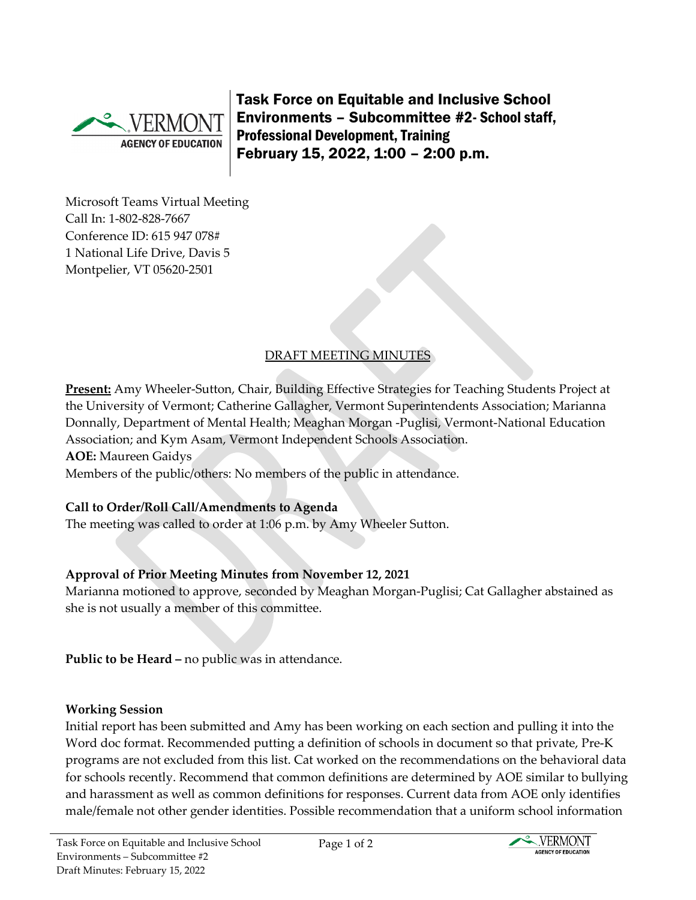

Task Force on Equitable and Inclusive School Environments – Subcommittee #2- School staff, Professional Development, Training February 15, 2022, 1:00 – 2:00 p.m.

Microsoft Teams Virtual Meeting Call In: [1-802-828-7667](about:blank)  Conference ID: 615 947 078# 1 National Life Drive, Davis 5 Montpelier, VT 05620-2501

# DRAFT MEETING MINUTES

**Present:** Amy Wheeler-Sutton, Chair, Building Effective Strategies for Teaching Students Project at the University of Vermont; Catherine Gallagher, Vermont Superintendents Association; Marianna Donnally, Department of Mental Health; Meaghan Morgan -Puglisi, Vermont-National Education Association; and Kym Asam, Vermont Independent Schools Association.

**AOE:** Maureen Gaidys

Members of the public/others: No members of the public in attendance.

## **Call to Order/Roll Call/Amendments to Agenda**

The meeting was called to order at 1:06 p.m. by Amy Wheeler Sutton.

## **Approval of Prior Meeting Minutes from November 12, 2021**

Marianna motioned to approve, seconded by Meaghan Morgan-Puglisi; Cat Gallagher abstained as she is not usually a member of this committee.

**Public to be Heard –** no public was in attendance.

### **Working Session**

Initial report has been submitted and Amy has been working on each section and pulling it into the Word doc format. Recommended putting a definition of schools in document so that private, Pre-K programs are not excluded from this list. Cat worked on the recommendations on the behavioral data for schools recently. Recommend that common definitions are determined by AOE similar to bullying and harassment as well as common definitions for responses. Current data from AOE only identifies male/female not other gender identities. Possible recommendation that a uniform school information